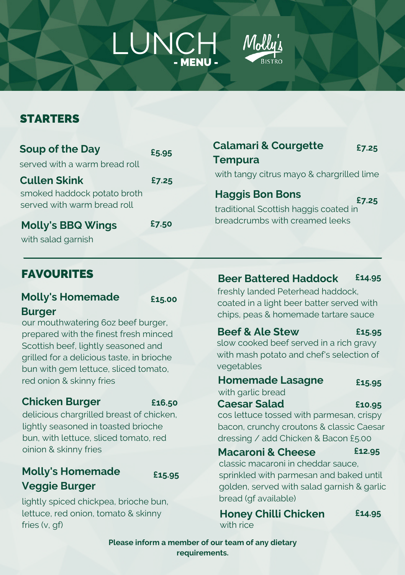# LUNCH Mollu'ı

## **STARTERS**

| with tangy ci                      |
|------------------------------------|
| <b>Haggis Bo</b><br>traditional Sc |
| breadcrumb:                        |
|                                    |

### **Calamari & Courgette h** Bons ottish haggis coated in s with creamed leeks trus mayo & chargrilled lime **£7.25 £7.25**

### FAVOURITES

### **Molly's Homemade Burger**

**£15.00**

our mouthwatering 6oz beef burger, prepared with the finest fresh minced Scottish beef, lightly seasoned and grilled for a delicious taste, in brioche bun with gem lettuce, sliced tomato, red onion & skinny fries

### **Chicken Burger**

**£16.50**

delicious chargrilled breast of chicken, lightly seasoned in toasted brioche bun, with lettuce, sliced tomato, red oinion & skinny fries

## **Molly's Homemade Veggie Burger**

**£15.95**

lightly spiced chickpea, brioche bun, lettuce, red onion, tomato & skinny fries (v, gf)

**Beer Battered Haddock £14.95**

freshly landed Peterhead haddock, coated in a light beer batter served with chips, peas & homemade tartare sauce

### **Beef & Ale Stew** slow cooked beef served in a rich gravy **£15.95**

with mash potato and chef's selection of vegetables

### **Homemade Lasagne £15.95**

with garlic bread **Caesar Salad**

**£10.95**

cos lettuce tossed with parmesan, crispy bacon, crunchy croutons & classic Caesar dressing / add Chicken & Bacon £5.00

### **Macaroni & Cheese**

**£12.95**

classic macaroni in cheddar sauce, sprinkled with parmesan and baked until golden, served with salad garnish & garlic bread (gf available)

**Honey Chilli Chicken** with rice

**£14.95**

**Please inform a member of our team of any dietary requirements.**